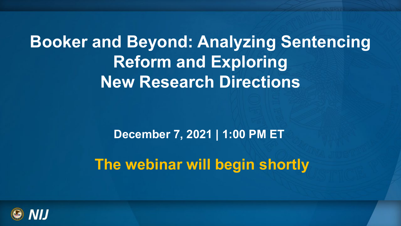## **Booker and Beyond: Analyzing Sentencing Reform and Exploring New Research Directions**

 **December 7, 2021 | 1:00 PM ET** 

**The webinar will begin shortly** 

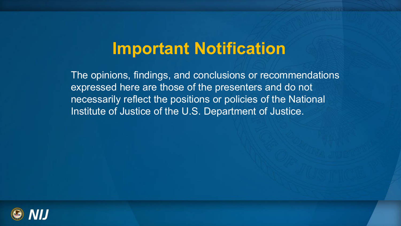## **Important Notification**

 The opinions, findings, and conclusions or recommendations necessarily reflect the positions or policies of the National Institute of Justice of the U.S. Department of Justice. expressed here are those of the presenters and do not

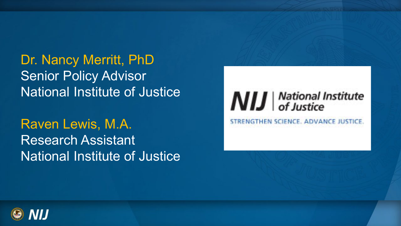National Institute of Justice Dr. Nancy Merritt, PhD Senior Policy Advisor

 National Institute of Justice Raven Lewis, M.A. Research Assistant



STRENGTHEN SCIENCE. ADVANCE JUSTICE

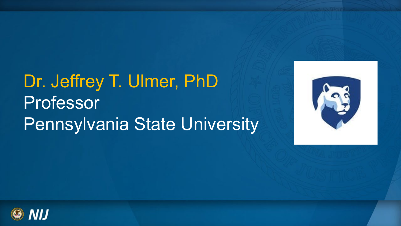# Dr. Jeffrey T. Ulmer, PhD Professor Pennsylvania State University



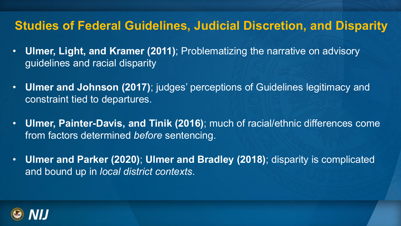#### **Studies of Federal Guidelines, Judicial Discretion, and Disparity**

- **Ulmer, Light, and Kramer (2011)**; Problematizing the narrative on advisory guidelines and racial disparity
- **Ulmer and Johnson (2017)**; judges' perceptions of Guidelines legitimacy and constraint tied to departures.
- • **Ulmer, Painter-Davis, and Tinik (2016)**; much of racial/ethnic differences come from factors determined *before* sentencing.
- **Ulmer and Parker (2020)**; **Ulmer and Bradley (2018)**; disparity is complicated and bound up in *local district contexts*.

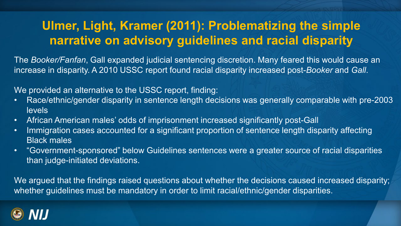#### **Ulmer, Light, Kramer (2011): Problematizing the simple narrative on advisory guidelines and racial disparity**

The *Booker/Fanfan*, Gall expanded judicial sentencing discretion. Many feared this would cause an increase in disparity. A 2010 USSC report found racial disparity increased post-*Booker* and *Gall*.

We provided an alternative to the USSC report, finding:

- Race/ethnic/gender disparity in sentence length decisions was generally comparable with pre-2003 levels
- African American males' odds of imprisonment increased significantly post-Gall
- Immigration cases accounted for a significant proportion of sentence length disparity affecting Black males
- • "Government-sponsored" below Guidelines sentences were a greater source of racial disparities than judge-initiated deviations.

 We argued that the findings raised questions about whether the decisions caused increased disparity; whether guidelines must be mandatory in order to limit racial/ethnic/gender disparities.

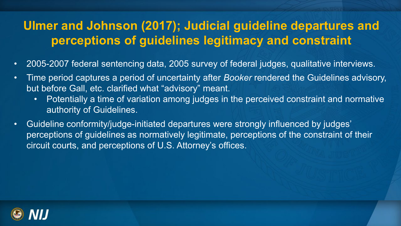#### **Ulmer and Johnson (2017); Judicial guideline departures and perceptions of guidelines legitimacy and constraint**

- 2005-2007 federal sentencing data, 2005 survey of federal judges, qualitative interviews.
- • Time period captures a period of uncertainty after *Booker* rendered the Guidelines advisory, but before Gall, etc. clarified what "advisory" meant.
	- Potentially a time of variation among judges in the perceived constraint and normative authority of Guidelines.
- Guideline conformity/judge-initiated departures were strongly influenced by judges' perceptions of guidelines as normatively legitimate, perceptions of the constraint of their circuit courts, and perceptions of U.S. Attorney's offices.

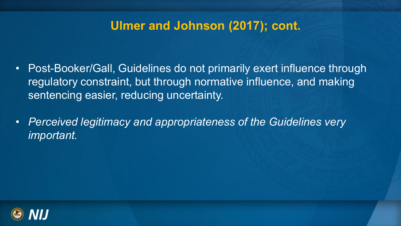#### **Ulmer and Johnson (2017); cont.**

- • Post-Booker/Gall, Guidelines do not primarily exert influence through regulatory constraint, but through normative influence, and making sentencing easier, reducing uncertainty.
- *Perceived legitimacy and appropriateness of the Guidelines very important.*

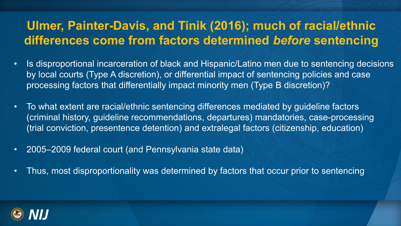### **Ulmer, Painter-Davis, and Tinik (2016); much of racial/ethnic differences come from factors determined** *before* **sentencing**

- by local courts (Type A discretion), or differential impact of sentencing policies and case • Is disproportional incarceration of black and Hispanic/Latino men due to sentencing decisions processing factors that differentially impact minority men (Type B discretion)?
- To what extent are racial/ethnic sentencing differences mediated by guideline factors (criminal history, guideline recommendations, departures) mandatories, case-processing (trial conviction, presentence detention) and extralegal factors (citizenship, education)
- 2005–2009 federal court (and Pennsylvania state data)
- Thus, most disproportionality was determined by factors that occur prior to sentencing

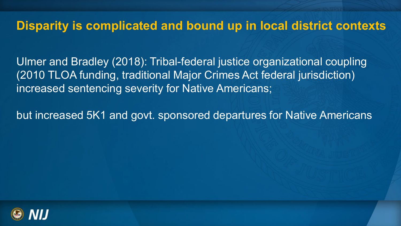#### **Disparity is complicated and bound up in local district contexts**

 (2010 TLOA funding, traditional Major Crimes Act federal jurisdiction) increased sentencing severity for Native Americans; Ulmer and Bradley (2018): Tribal-federal justice organizational coupling

but increased 5K1 and govt. sponsored departures for Native Americans

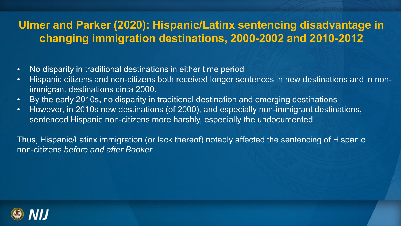#### **Ulmer and Parker (2020 ): Hispanic/Latinx sentencing disadvantage in changing immigration destinations, 2000-2002 and 2010-2012**

- No disparity in traditional destinations in either time period
- Hispanic citizens and non-citizens both received longer sentences in new destinations and in nonimmigrant destinations circa 2000.
- By the early 2010s, no disparity in traditional destination and emerging destinations
- However, in 2010s new destinations (of 2000), and especially non-immigrant destinations, sentenced Hispanic non-citizens more harshly, especially the undocumented

 Thus, Hispanic/Latinx immigration (or lack thereof) notably affected the sentencing of Hispanic non-citizens *before and after Booker*.

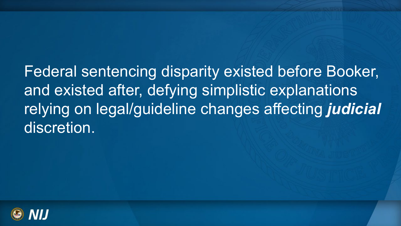Federal sentencing disparity existed before Booker, and existed after, defying simplistic explanations relying on legal/guideline changes affecting *judicial* discretion.

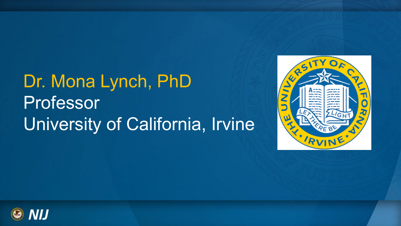# Dr. Mona Lynch, PhD **Professor** University of California, Irvine



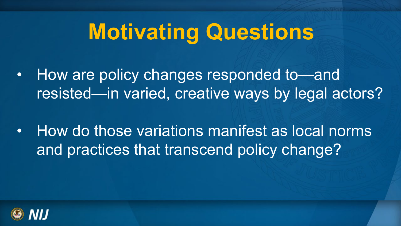# **Motivating Questions**

- How are policy changes responded to—and resisted—in varied, creative ways by legal actors?
- How do those variations manifest as local norms and practices that transcend policy change?

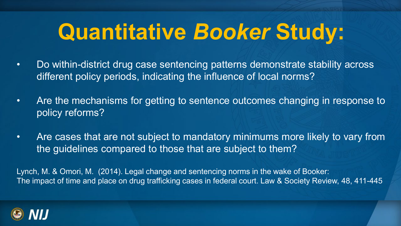# **Quantitative** *Booker* **Study:**

- • Do within-district drug case sentencing patterns demonstrate stability across different policy periods, indicating the influence of local norms?
- Are the mechanisms for getting to sentence outcomes changing in response to policy reforms?
- • Are cases that are not subject to mandatory minimums more likely to vary from the guidelines compared to those that are subject to them?

 Lynch, M. & Omori, M. (2014). Legal change and sentencing norms in the wake of Booker: The impact of time and place on drug trafficking cases in federal court. Law & Society Review, 48, 411-445

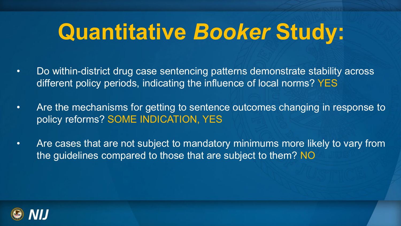# **Quantitative** *Booker* **Study:**

- • Do within-district drug case sentencing patterns demonstrate stability across different policy periods, indicating the influence of local norms? YES
- Are the mechanisms for getting to sentence outcomes changing in response to policy reforms? SOME INDICATION, YES
- • Are cases that are not subject to mandatory minimums more likely to vary from the guidelines compared to those that are subject to them? NO

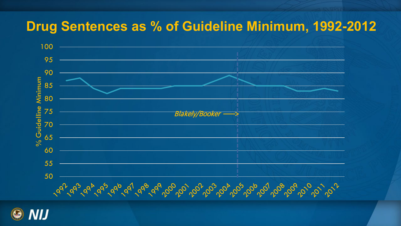### **Drug Sentences as % of Guideline Minimum, 1992 -2012**



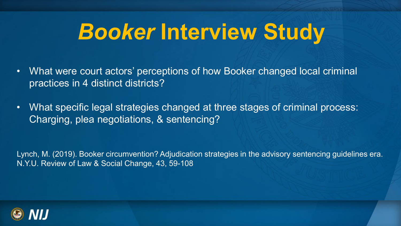# *Booker* **Interview Study**

- • What were court actors' perceptions of how Booker changed local criminal practices in 4 distinct districts?
- • What specific legal strategies changed at three stages of criminal process: Charging, plea negotiations, & sentencing?

 Lynch, M. (2019). Booker circumvention? Adjudication strategies in the advisory sentencing guidelines era. N.Y.U. Review of Law & Social Change, 43, 59-108

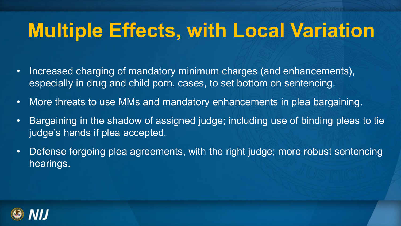# **Multiple Effects, with Local Variation**

- • Increased charging of mandatory minimum charges (and enhancements), especially in drug and child porn. cases, to set bottom on sentencing.
- More threats to use MMs and mandatory enhancements in plea bargaining.
- judge's hands if plea accepted. • Bargaining in the shadow of assigned judge; including use of binding pleas to tie
- Defense forgoing plea agreements, with the right judge; more robust sentencing hearings.

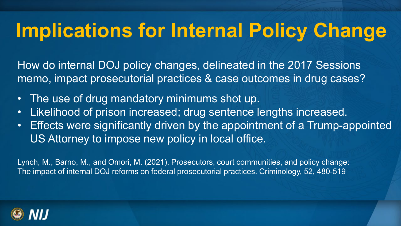# **Implications for Internal Policy Change**

 How do internal DOJ policy changes, delineated in the 2017 Sessions memo, impact prosecutorial practices & case outcomes in drug cases?

- The use of drug mandatory minimums shot up.
- Likelihood of prison increased; drug sentence lengths increased.
- • Effects were significantly driven by the appointment of a Trump-appointed US Attorney to impose new policy in local office.

 Lynch, M., Barno, M., and Omori, M. (2021). Prosecutors, court communities, and policy change: The impact of internal DOJ reforms on federal prosecutorial practices. Criminology, 52, 480-519

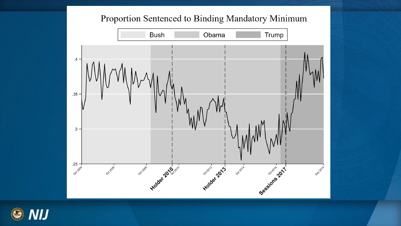#### Proportion Sentenced to Binding Mandatory Minimum



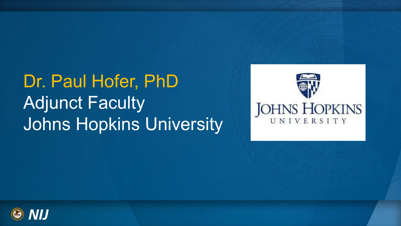Dr. Paul Hofer, PhD Adjunct Faculty Johns Hopkins University



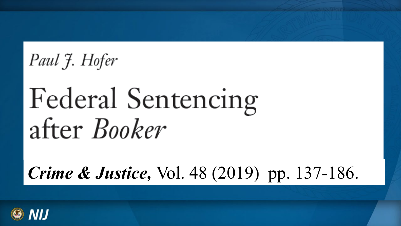Paul J. Hofer

# **Federal Sentencing** after *Booker*

*Crime & Justice, Vol. 48 (2019) pp. 137-186.* 

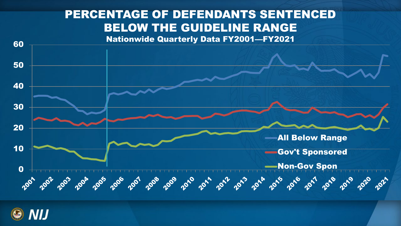### PERCENTAGE OF DEFENDANTS SENTENCED BELOW THE GUIDELINE RANGE



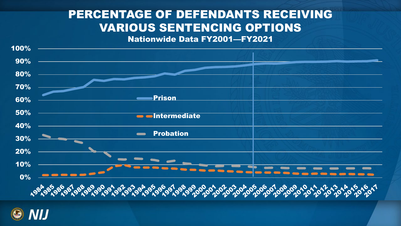#### PERCENTAGE OF DEFENDANTS RECEIVING VARIOUS SENTENCING OPTIONS

Nationwide Data FY2001—FY2021



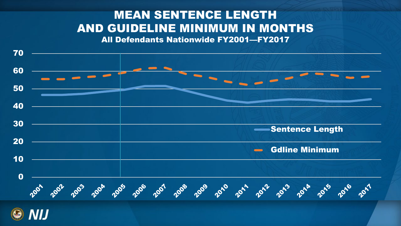### MEAN SENTENCE LENGTH AND GUIDELINE MINIMUM IN MONTHS

All Defendants Nationwide FY2001—FY2017

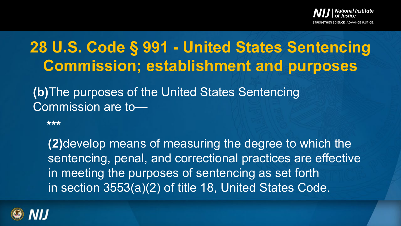

## **28 U.S. Code § 991 - United States Sentencing Commission; establishment and purposes**

**(b)**The purposes of the United States Sentencing Commission are to—

**\*\*\*** 

**(2)**develop means of measuring the degree to which the sentencing, penal, and correctional practices are effective in meeting the purposes of sentencing as set forth in section 3553(a)(2) of title 18, United States Code.

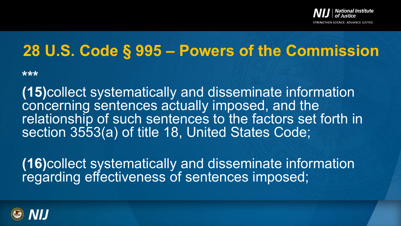

### **28 U.S. Code § 995 – Powers of the Commission**

**\*\*\*** 

 concerning sentences actually imposed, and the **(15)**collect systematically and disseminate information relationship of such sentences to the factors set forth in section 3553(a) of title 18, United States Code;

 regarding effectiveness of sentences imposed; **(16)**collect systematically and disseminate information

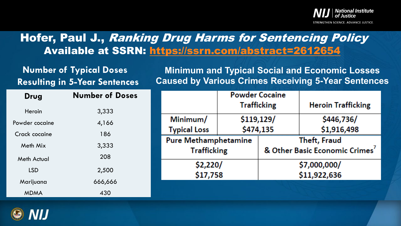

#### Hofer, Paul J., Ranking Drug Harms for Sentencing Policy Available at SSRN: <https://ssrn.com/abstract=2612654>

# **Number of Typical Doses**

**Minimum and Typical Social and Economic Losses Resulting in 5-Year Sentences Caused by Various Crimes Receiving 5-Year Sentences** 

| Drug           | <b>Number of Doses</b> |
|----------------|------------------------|
| Heroin         | 3,333                  |
| Powder cocaine | 4,166                  |
| Crack cocaine  | 186                    |
| Meth Mix       | 3,333                  |
| Meth Actual    | 208                    |
| LSD            | 2,500                  |
| Marijuana      | 666,666                |
| <b>MDMA</b>    | 430                    |

|                             | <b>Powder Cocaine</b> |              |                                |
|-----------------------------|-----------------------|--------------|--------------------------------|
|                             | <b>Trafficking</b>    |              | <b>Heroin Trafficking</b>      |
| Minimum/                    | \$119,129/            |              | \$446,736/                     |
| <b>Typical Loss</b>         | \$474,135             |              | \$1,916,498                    |
| <b>Pure Methamphetamine</b> |                       | Theft, Fraud |                                |
| <b>Trafficking</b>          |                       |              | & Other Basic Economic Crimes' |
| \$2,220/                    |                       | \$7,000,000/ |                                |
| \$17,758                    |                       | \$11,922,636 |                                |
|                             |                       |              |                                |

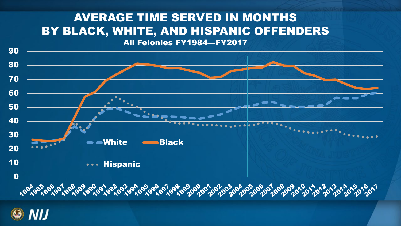#### BY BLACK, WHITE, AND HISPANIC OFFENDERS AVERAGE TIME SERVED IN MONTHS All Felonies FY1984—FY2017